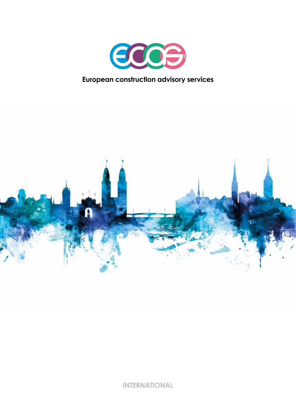

## **European construction advisory services**



**INTERNATIONAL**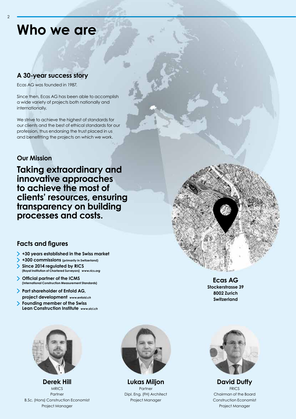## **Who we are**

### **A 30-year success story**

Ecas AG was founded in 1987.

Since then, Ecas AG has been able to accomplish a wide variety of projects both nationally and internationally.

We strive to achieve the highest of standards for our clients and the best of ethical standards for our profession, thus endorsing the trust placed in us and benefitting the projects on which we work.

#### **Our Mission**

**Taking extraordinary and innovative approaches to achieve the most of clients' resources, ensuring transparency on building processes and costs.**

### **Facts and figures**

- **+30 years established in the Swiss market**
- **+300 commissions (primarily in Switzerland)**
- **Since 2014 regulated by RICS**  $\blacktriangleright$ **(Royal Institution of Chartered Surveyors)** *www.rics.org*
- **Official partner of the ICMS (International Construction Measurement Standards)**
- **Part shareholder of Enfold AG, project development** *www.enfold.ch*
- **Founding member of the Swiss Lean Construction Institute** *www.slci.ch*



**Derek Hill MRICS** Partner B.Sc. (Hons) Construction Economist Project Manager



**Lukas Miljon**  Partner Dipl. Eng. (FH) Architect Project Manager





**David Duffy FRICS** Chairman of the Board Construction Economist Project Manager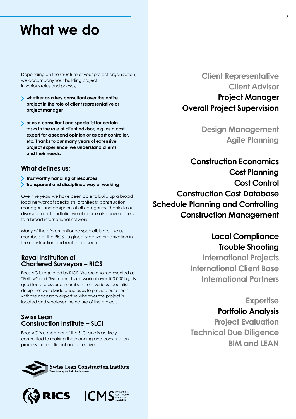## **What we do**

Depending on the structure of your project organization, we accompany your building project in various roles and phases;

- **whether as a key consultant over the entire project in the role of client representative or project manager**
- **or as a consultant and specialist for certain tasks in the role of client advisor; e.g. as a cost expert for a second opinion or as cost controller, etc. Thanks to our many years of extensive project experience, we understand clients and their needs.**

#### **What defines us:**

- **Trustworthy handling of resources**
- **Transparent and disciplined way of working**

Over the years we have been able to build up a broad local network of specialists, architects, construction managers and designers of all categories. Thanks to our diverse project portfolio, we of course also have access to a broad international network.

Many of the aforementioned specialists are, like us, members of the RICS - a globally active organization in the construction and real estate sector.

#### **Royal Institution of Chartered Surveyors – RICS**

Ecas AG is regulated by RICS. We are also represented as "Fellow" and "Member". Its network of over 100,000 highly qualified professional members from various specialist disciplines worldwide enables us to provide our clients with the necessary expertise wherever the project is located and whatever the nature of the project.

#### **Swiss Lean Construction Institute – SLCI**

Ecas AG is a member of the SLCI and is actively committed to making the planning and construction process more efficient and effective.





**Client Representative Client Advisor Project Manager Overall Project Supervision**

> **Design Management Agile Planning**

**Construction Economics Cost Planning Cost Control Construction Cost Database Schedule Planning and Controlling Construction Management**

## **Local Compliance Trouble Shooting**

**International Projects International Client Base International Partners**

### **Expertise**

### **Portfolio Analysis**

**Project Evaluation Technical Due Diligence BIM and LEAN**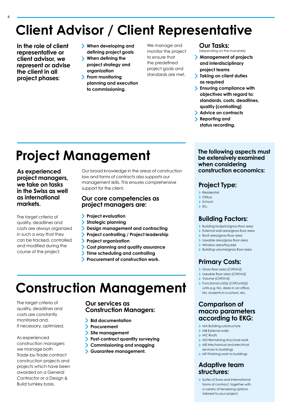# **Client Advisor / Client Representative**

**In the role of client representative or client advisor, we represent or advise the client in all project phases:**

- **When developing and defining project goals**
- **When defining the project strategy and organization**
- **From monitoring planning and execution to commissioning.**

We manage and monitor the project to ensure that the predefined project goals and standards are met.

#### **Our Tasks:**

(depending on the mandate)

- **Management of projects and interdisciplinary project teams**
- **Taking on client duties as required**
- **Ensuring compliance with objectives with regard to: standards, costs, deadlines, quality (controlling)**
- **Advice on contracts**  $\blacktriangleright$ **Reporting and status recording.**

# **Project Management**

**As experienced project managers, we take on tasks in the Swiss as well as international markets.**

The target criteria of quality, deadlines and costs are always organized in such a way that they can be tracked, controlled and modified during the course of the project.

Our broad knowledge in the areas of construction law and forms of contracts also supports our management skills. This ensures comprehensive support for the client.

#### **Our core competencies as project managers are:**

- **Project evaluation**
- **Strategic planning**
- **Design management and contracting**
- **Project controlling / Project leadership**
- **Project organization** ↘
- ↘ **Cost planning and quality assurance**
- **Time scheduling and controlling** ↘
- **Procurement of construction work.**

# **Construction Management**

The target criteria of quality, deadlines and costs are constantly monitored and, if necessary, optimized.

As experienced construction managers we manage both Trade-by-Trade contract construction projects and projects which have been awarded on a General Contractor or a Design & Build turnkey basis.

#### **Our services as Construction Managers:**

- $\blacktriangleright$ **Bid documentation**
- $\check{}$ **Procurement**
- $\blacktriangleright$ **Site management**
- ゝ **Post-contract quantity surveying**
- $\mathbf{\Sigma}$ **Commissioning and snagging**
- $\blacktriangleright$ **Guarantee management.**

**The following aspects must be extensively examined when considering construction economics:**

### **Project Type:**

- > Residential
- > Office
- $\sum$ School  $\blacktriangleright$  Etc.

### **Building Factors:**

- > Building footprint/gross floor area
- External wall area/gross floor area
- Roof area/gross floor area
- > Useable area/aross floor area
- Window area/façade
- > Building volume/gross floor area

### **Primary Costs:**

- Gross floor area (CHF/m2)
- Useable floor area (CHF/m2)
- > Volume (CHF/m3)
- Functional unit(s) (CHF/unit(s)) units e.g. No. desks in an office, No. students in a school, etc.

#### **Comparison of macro parameters according to EKG:**

- > MA Building substructure
- > MB External walls
- > MC Roofs
- > MD Remaining structural work > ME Mechanical and electrical
- services to buildings > MF Finishing work to buildings

### **Adaptive team structures:**

> Suites of Swiss and international forms of contract, together with a variety of tendering options tailored to your project.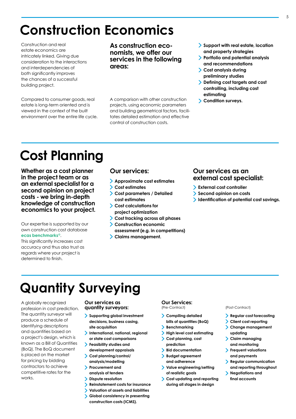## **Construction Economics**

Construction and real estate economics are intricately linked. Giving due consideration to the interactions and interdependencies of both significantly improves the chances of a successful building project.

Compared to consumer goods, real estate is long-term oriented and is viewed in the context of the built environment over the entire life cycle. **As construction economists, we offer our services in the following areas:**

A comparison with other construction projects, using economic parameters and building geometrical factors, facilitates detailed estimation and effective control of construction costs.

- **Support with real estate, location and property strategies**
- **Portfolio and potential analysis and recommendations**
- **Cost analysis during preliminary studies**
- **Defining cost targets and cost controlling, including cost estimating**
- **Condition surveys.**

## **Cost Planning**

**Whether as a cost planner in the project team or as an external specialist for a second opinion on project costs - we bring in-depth knowledge of construction economics to your project.**

Our expertise is supported by our own construction cost database **ecas benchmarks©**.

This significantly increases cost accuracy and thus also trust as regards where your project is determined to finish.

#### **Our services:**

- **Approximate cost estimates**
- **Cost estimates**
- **Cost parameters / Detailed cost estimates**
- **Cost calculations for project optimization**
- **Cost tracking across all phases**
- **Construction economic assessment (e.g. in competitions)**
- **Claims management.**

#### **Our services as an external cost specialist:**

- **External cost controller**
- **Second opinion on costs**
- **Identification of potential cost savings.**

# **Quantity Surveying**

A globally recognized profession in cost prediction. The quantity surveyor will produce a schedule of identifying descriptions and quantities based on a project's design, which is known as a Bill of Quantities (BoQ). The BoQ document is placed on the market for pricing by bidding contractors to achieve competitive rates for the works.

#### **Our services as quantity surveyors:**

- **Supporting global investment decisions, business casing, site acquisition**
- **International, national, regional or state cost comparisons**
- **Feasibility studies and development appraisals**
- **Cost planning/control/**
- **analysis/modelling Procurement and**
- **analysis of tenders**
- $\mathbf{\Sigma}$ **Dispute resolution**
- **Reinstatement costs for insurance**  $\blacktriangleright$
- **Valuation of assets and liabilities** ↘
- ↘ **Global consistency in presenting construction costs (ICMS).**

#### **Our Services:**

(Pre-Contract)

- **Compiling detailed bills of quantities (BoQ)**
- **Benchmarking**
- **High level cost estimating**
- **Cost planning, cost prediction**
- **Bid documentation**
- **Budget agreement**
- **and adherence Value engineering/setting of realistic goals**
- **Cost updating and reporting during all stages in design**

#### (Post-Contract)

- **Regular cost forecasting**
- **Client cost reporting** ↘
- **Change management updating**
- **Claim managing and monitoring**
- **Frequent valuations and payments**
- **Regular communication and reporting throughout**
- **Negotiations and final accounts**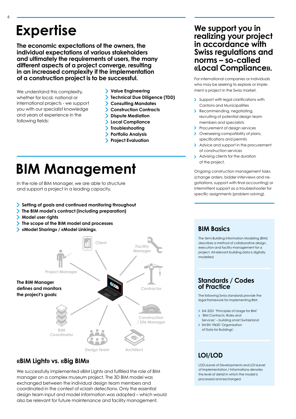## **Expertise**

**The economic expectations of the owners, the individual expectations of various stakeholders and ultimately the requirements of users, the many different aspects of a project converge, resulting in an increased complexity if the implementation of a construction project is to be successful.**

We understand this complexity, whether for local, national or international projects - we support you with our specialist knowledge and years of experience in the following fields:

- **Value Engineering**
- **Technical Due Diligence (TDD)**
- **Consulting Mandates**
- **Construction Contracts**
- **Dispute Mediation**
- **Local Compliance**
- **Troubleshooting**
- **Portfolio Analysis**
- **Project Evaluation**

# **BIM Management**

In the role of BIM Manager, we are able to structure and support a project in a leading capacity.

- **Setting of goals and continued monitoring throughout**
- **The BIM model's contract (including preparation)**
- **Model user rights**
- **The scope of the BIM model and processes**
- **«Model Sharing» / «Model Linking».**



### **«BIM Light» vs. «Big BIM»**

We successfully implemented «BIM Light» and fulfilled the role of BIM manager on a complex museum project. The 3D BIM model was exchanged between the individual design team members and coordinated in the context of «clash detection». Only the essential design team input and model information was adopted – which would also be relevant for future maintenance and facility management.

### **We support you in realizing your project in accordance with Swiss regulations and norms – so-called «Local Compliance».**

For international companies or individuals who may be seeking to explore or implement a project in the Swiss market.

- Support with legal clarifications with Cantons and Municipalities
- > Recommending, negotiating, recruiting of potential design team members and specialists
- > Procurement of design services
- > Overseeing compatibility of plans, specifications and permits
- Advice and support in the procurement of construction services
- $\overline{\phantom{a}}$ Advising clients for the duration of the project.

Ongoing construction management tasks (change orders, bidder interviews and negotiations, support with final accounting) or intermittent support as a troubleshooter for specific assignments (problem solving).

### **BIM Basics**

The term Building Information Modeling (BIM) describes a method of collaborative design, execution and facility management for a project. All relevant building data is digitally modelled.

#### **Standards / Codes of Practice**

The following Swiss standards provide the legal framework for implementing BIM:

- SIA 2051 'Principles of Usage for BIM' 'BIM Contracts, Roles and
- Services' building smart Switzerland SN EN 19650 'Organisation
- of Data for Buildings'.

### **LOI/LOD**

LOD «Level of Development» and LOI «Level of Implementation / Information» denotes the level of detail in which the model is processed and exchanged.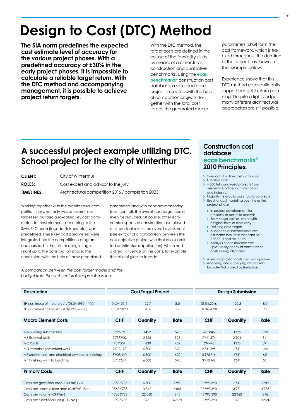# **Design to Cost (DTC) Method**

**The SIA norm predefines the expected cost estimate level of accuracy for the various project phases. With a predefined accuracy of ±30% in the early project phases, it is impossible to calculate a reliable target return. With the DTC method and accompanying management, it is possible to achieve project return targets.**

With the DTC method, the target costs are defined in the course of the feasibility study by means of architectural, construction and qualitative benchmarks. Using the **ecas benchmarks©** construction cost database, a so-called base project is created with the help of comparison projects. Together with the total cost target, the generated macro

parameters (EKG) form the cost framework, which is tracked throughout the duration of the project - as shown in the example below.

Experience shows that this DTC method can significantly support budget / return planning. Despite a tight budget, many different architectural approaches are still possible.

## **A successful project example utilizing DTC. School project for the city of Winterthur**

| <b>CLIENT:</b>    | City of Winterthur                               |
|-------------------|--------------------------------------------------|
| <b>ROLES:</b>     | Cost expert and advisor to the jury              |
| <b>TIMELINES:</b> | Architectural competition 2016 / completion 2023 |

Working together with the architectural competition's jury, not only was an overall cost target set, but also a so-called key cost parameters for cost elements according to the Swiss EKG norm (façade, finishes, etc.) was predefined. These key cost parameters were integrated into the competition's program and pursued in the further design stages - right up to the construction phase. The conclusion, with the help of these predefined

parameters and with constant monitoring (cost control), the overall cost target could even be reduced. Of course, other economic aspects of construction also played an important role in the overall assessment (see extract of a comparison between the cost objective project with that of a submitted architectural application), which had a direct influence on the costs, for example the ratio of glass to façade.

*A comparison between the cost target model and the budget from the architectural design submission:*

#### **Construction cost database ecas benchmarks© 2010 Principles:**

- $\mathbf{\bar{z}}$ Swiss construction cost database
- Created in 2010 + 200 fully analyzed projects from residential, office, administration and industry
- Majority new-build construction projects > Used for cost modeling over the entire project phase:
	- > In project development for
	- property or portfolio analysis  $\mathbf{v}$
	- Early-stage cost estimate with a higher level of accuracy
	- > Defining cost targets
	- > Allocation of international cost estimates into Swiss standard BKP / eBKP-H cost structure
	- > Analysis of construction cost - plausibility check of construction costs during all phases.
- Assessing project costs «second opinion» Analysing and displaying cost drivers for potential project optimization.

| <b>Description</b>                                    | <b>Cost Target Project</b> |          |         | <b>Design Submission</b> |          |         |
|-------------------------------------------------------|----------------------------|----------|---------|--------------------------|----------|---------|
|                                                       |                            |          |         |                          |          |         |
| ZH cost index of the projects $(01.04.1990 = 100)$    | 01.04.2015                 | 122.7    | 8.0     | 01.04.2016               | 120.5    | 8.0     |
| ZH cost reference index (01.04.1990 = 100)            | 01.04.2020                 | 120.6    | 7.7     | 01.04.2020               | 120.6    | 7.7     |
| <b>Macro Element Costs</b>                            | <b>CHF</b>                 | Quantity | Rate    | <b>CHF</b>               | Quantity | Rate    |
|                                                       |                            |          |         |                          |          |         |
| MA Building substructure                              | 756'759                    | 1'452    | 521     | 623'846                  | 1'176    | 530     |
| MB External walls                                     | 2'733'902                  | 2'953    | 926     | 2'441'574                | 2'904    | 841     |
| MC Roofs                                              | 737'351                    | 1'630    | 452     | 694'470                  | 1'176    | 591     |
| MD Remaining structural work                          | 2'013'123                  | 6'300    | 320     | 2'541'595                | 6'511    | 390     |
| ME Mechanical and electrical services to buildings    | 3'908'440                  | 6'300    | 620     | 3'975'316                | 6'511    | 611     |
| MF Finishing work to buildings                        | 3'716'534                  | 6'300    | 590     | 3'910'146                | 6'511    | 601     |
|                                                       |                            |          |         |                          |          |         |
| <b>Primary Costs</b>                                  | <b>CHF</b>                 | Quantity | Rate    | <b>CHF</b>               | Quantity | Rate    |
|                                                       |                            |          |         |                          |          |         |
| Costs per gross floor area (CHF/m <sup>2</sup> GFA)   | 18'636'733                 | 6'300    | 2'958   | 18'993'390               | 6'511    | 2'917   |
| Costs per useable floor area (CHF/m <sup>2</sup> UFA) | 18'636'733                 | 3'842    | 4'851   | 18'993'390               | 3'971    | 4'783   |
| Costs per volume (CHF/m <sup>3</sup> )                | 18'636'733                 | 22'050   | 845     | 18'993'390               | 22'463   | 846     |
| Costs per functional unit (CHF/No.)                   | 18'636'733                 | 57       | 326'960 | 18'993'390               | 57       | 333'217 |